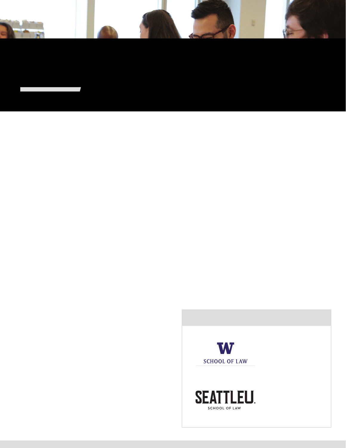# WASHINGTON LEADERSHIP INSTITUTE

#### About WLI

The Washington Leadership Institute ("WLI") is a leadership development program created in 2004 by the WSBA Board of Governors at the behest of then president Ronald R. Ward. It is a collaborative leadership program between the Washington State Bar Association and the University of Washington School of Law (UW Law). The program operates under the direction of a Board of Advisors and provides monthly training sessions to participants ("Fellows"). The sessions include topics such as the "nuts and bolts" of law practice, leadership styles, the judiciary, and the legislative process. A WSBA Leadership Institute Fellow LV D•RUGHG QXPHURXV RSSRUWXQLWLHV legal, judicial, and political leaders.

#### Our Mission

The mission of the Washington Leadership Institute (WLI ) is to recruit, train, & develop traditionally underrepresented attorneys for future leadership positions in the Washington State Bar Association and legal community. The program strives to UHFUXLW)HOORZV IRU HDFK FODVV ZKR UH<sup>8</sup>5FFGE RIVGKAKETYGGWEG PIGSF4GUNGLGGPNGIFGQWASGI, state, which includes race, ethnicity, gender, sexual orientation, disability, and geographic location.

## $\tilde{n} \cdot A \div \cdot X'$  \* ¬ - ¬  $\vdash \tilde{U} \cdot \tilde{S}$

The WLI provides the Fellows with numerous opportunities to personally interact with legal, judicial, and political leaders. The SURJUDP R•HUV D XQLTXH FRPELQDWLRQ RI EHQH4WV

- The program is a no-cost endeavor for Fellows because all travel, lodging and meals are covered
- No tuition fee
- CLE credits, enough to satisfy approximately 3 full years of 0&/(UHTXLUHPHQWV-DWQRFRVW
- Exposure to practice and industry leaders
- Training in the law, courts, and the Bar
- One-on-one interaction with judges
- Men torship from well-known bar leaders

### **Curriculum**

• Sessions The program is composed of eight educational sessions which run from January through August of each year. Fellows devote approximately 60 hours to the WLI CLE curriculum.

- Community Service Project Each class sets aside time to be involved with the preparation and execution of a WLI community service project. Fellows devote approximately 30 hours to the project.
- One year of service Following graduation from the WLI, each Fellow is expected to serve on a WSBA or WSBA-related committee, section, minority, or specialty bar association

#### Notable Guest Speakers

There have been over a hundred speakers who have given their time and expertise to the program. Below are just a few of the attorneys and public servants who have spoken and WDXJKWDWWKH–QVWLWXWH

- Chief Justice Mary Fairhurst, Washington Supreme Court
- Judge Richard Jones, U.S. District Court
- /XF\ +HOP \*HQHUDO &RXQVHO 6WDUEXFNV
- Eric Liu, Author and speech writer for former President Bill Clinton
- Chief Judge Ricardo Martinez, U.S. District Court
- Seattle Mariners
	- -H•UH\ 5RELQVRQ 6FKURHWHU \*ROGPDUN DO Center for Justice Director
	- Kellye Y. Testy, President and CEO, Law School Admission Council (LSAC)